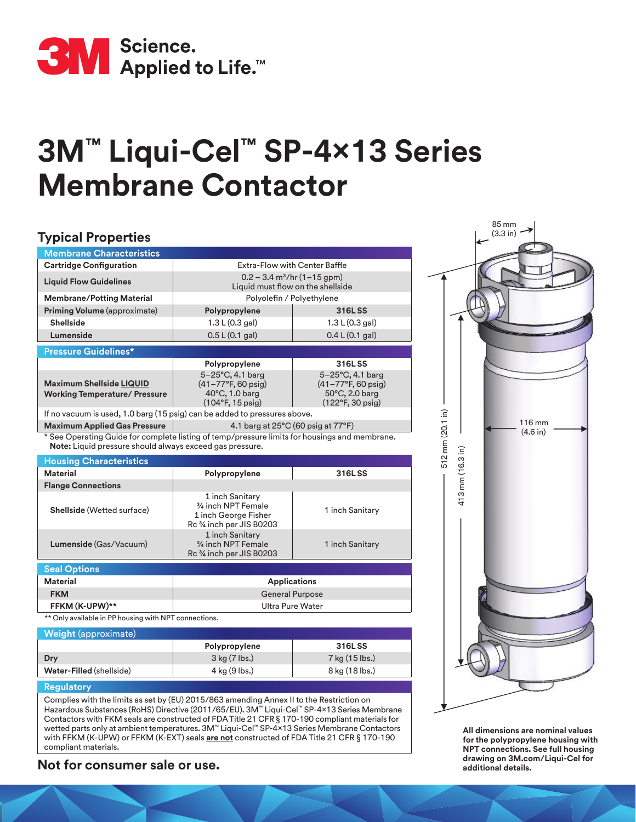

# **3M™ Liqui-Cel™ SP-4x13 Series Membrane Contactor**

#### **Typical Properties Membrane Characteristics Cartridge Configuration**  $\qquad$  **Extra-Flow with Center Baffle Liquid Flow Guidelines** 0.2 – 3.4 m3/hr (1–15 gpm) Liquid must flow on the shellside **Membrane/Potting Material Material Resource Accord Polyolefin / Polyethylene Priming Volume** (approximate) **Polypropylene 316L SS Shellside** 1.3 L (0.3 gal) 1.3 L (0.3 gal) 1.3 L (0.3 gal) **Lumenside** 0.5 L(0.1 gal) 0.4 L(0.1 gal) **Pressure Guidelines\* Polypropylene 316L SS Maximum Shellside LIQUID Working Temperature/ Pressure** 5–25°C, 4.1 barg  $(41 - 77)$ °F, 60 psig) 40°C, 1.0 barg (104°F, 15 psig) 5–25°C, 4.1 barg (41–77°F, 60 psig) 50°C, 2.0 barg (122°F, 30 psig) If no vacuum is used, 1.0 barg (15 psig) can be added to pressures above. **Maximum Applied Gas Pressure** 2.1 barg at 25°C (60 psig at 77°F) See Operating Guide for complete listing of temp/pressure limits for housings and membrane. **Note:** Liquid pressure should always exceed gas pressure. **Housing Characteristics Material Polypropylene 316L SS Flange Connections Shellside** (Wetted surface) 1 inch Sanitary 3/4 inch NPT Female 1 inch George Fisher Rc ¾ inch per JIS B0203 1 inch Sanitary **Lumenside** (Gas/Vacuum) 1 inch Sanitary 3/4 inch NPT Female Rc ¾ inch per JIS B0203 1 inch Sanitary **Seal Options Material Applications FKM** General Purpose **FFKM (K-UPW)\*\*** Ultra Pure Water \*\* Only available in PP housing with NPT connections. **Weight** (approximate) **Polypropylene 316L SS Dry** 3 kg (7 lbs.) 3 3 kg (7 lbs.) 7 kg (15 lbs.) 512 m 512 mm (20.1 in 12 mm (20.1 in) 116 mm (4.6 in) 85 mm (3.3 in) 413 mm (16. 413 mm (16.3 in) mm (16.3 in)

### **Regulatory**

Complies with the limits as set by (EU) 2015/863 amending Annex II to the Restriction on Hazardous Substances (RoHS) Directive (2011/65/EU). 3M™ Liqui-Cel™ SP-4x13 Series Membrane Contactors with FKM seals are constructed of FDA Title 21 CFR § 170-190 compliant materials for wetted parts only at ambient temperatures. 3M™ Liqui-Cel™ SP-4x13 Series Membrane Contactors with FFKM (K-UPW) or FFKM (K-EXT) seals **are not** constructed of FDA Title 21 CFR § 170-190 compliant materials.

**Water-Filled** (shellside) **4 kg (9 lbs.)** 8 kg (18 lbs.)

## **drawing on 3M.com/Liquid-Cel for Consumer sale or use.** *additional details.*

**All dimensions are nominal values for the polypropylene housing with NPT connections. See full housing**